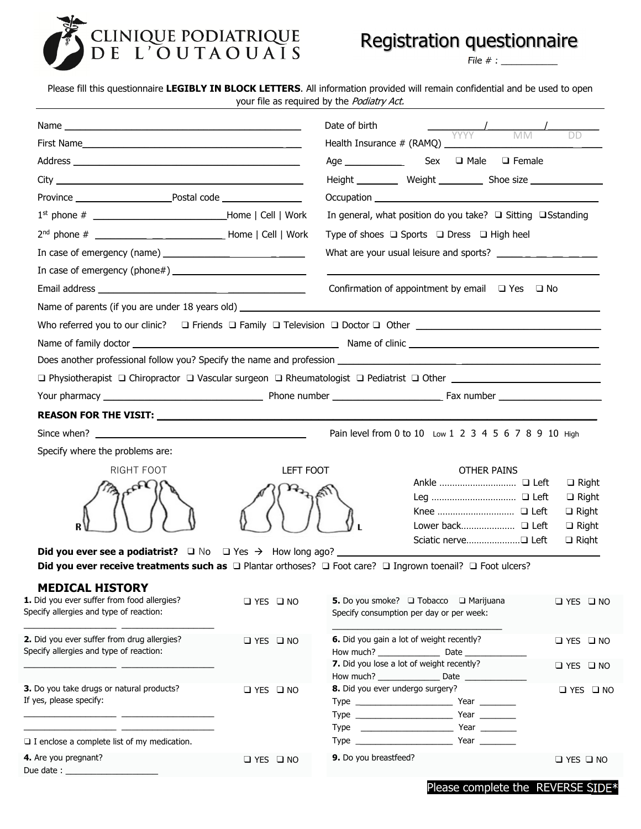

# Registration questionnaire

File  $# : \_$ 

| Please fill this questionnaire LEGIBLY IN BLOCK LETTERS. All information provided will remain confidential and be used to open |  |  |
|--------------------------------------------------------------------------------------------------------------------------------|--|--|
| your file as required by the <i>Podiatry Act.</i>                                                                              |  |  |
|                                                                                                                                |  |  |

|                                                                                                                                                                                                                                                                                   |                      | Date of birth         | $\frac{1}{\sqrt{1-\frac{1}{1-\frac{1}{1-\frac{1}{1-\frac{1}{1-\frac{1}{1-\frac{1}{1-\frac{1}{1-\frac{1}{1-\frac{1}{1-\frac{1}{1-\frac{1}{1-\frac{1}{1-\frac{1}{1-\frac{1}{1-\frac{1}{1-\frac{1}{1-\frac{1}{1-\frac{1}{1-\frac{1}{1-\frac{1}{1-\frac{1}{1-\frac{1}{1-\frac{1}{1-\frac{1}{1-\frac{1}{1-\frac{1}{1-\frac{1}{1-\frac{1}{1-\frac{1}{1-\frac{1}{1-\frac{1}{1-\frac{1}{1-\frac{1}{1-\frac{1}{1-\frac{1}{1-\$ |                      |
|-----------------------------------------------------------------------------------------------------------------------------------------------------------------------------------------------------------------------------------------------------------------------------------|----------------------|-----------------------|-----------------------------------------------------------------------------------------------------------------------------------------------------------------------------------------------------------------------------------------------------------------------------------------------------------------------------------------------------------------------------------------------------------------------|----------------------|
|                                                                                                                                                                                                                                                                                   |                      |                       |                                                                                                                                                                                                                                                                                                                                                                                                                       |                      |
|                                                                                                                                                                                                                                                                                   |                      |                       |                                                                                                                                                                                                                                                                                                                                                                                                                       |                      |
|                                                                                                                                                                                                                                                                                   |                      |                       | Height ____________ Weight _____________ Shoe size _____________________________                                                                                                                                                                                                                                                                                                                                      |                      |
|                                                                                                                                                                                                                                                                                   |                      |                       |                                                                                                                                                                                                                                                                                                                                                                                                                       |                      |
|                                                                                                                                                                                                                                                                                   |                      |                       | In general, what position do you take? $\Box$ Sitting $\Box$ Sstanding                                                                                                                                                                                                                                                                                                                                                |                      |
|                                                                                                                                                                                                                                                                                   |                      |                       | Type of shoes $\Box$ Sports $\Box$ Dress $\Box$ High heel                                                                                                                                                                                                                                                                                                                                                             |                      |
| In case of emergency (name) $\frac{1}{2}$ [10] $\frac{1}{2}$ [10] $\frac{1}{2}$ [10] $\frac{1}{2}$ [10] $\frac{1}{2}$ [10] $\frac{1}{2}$ [10] $\frac{1}{2}$ [10] $\frac{1}{2}$ [10] $\frac{1}{2}$ [10] $\frac{1}{2}$ [10] $\frac{1}{2}$ [10] $\frac{1}{2}$ [10] $\frac{1}{2}$ [10 |                      |                       | What are your usual leisure and sports?                                                                                                                                                                                                                                                                                                                                                                               |                      |
| In case of emergency (phone#) $\sqrt{2}$                                                                                                                                                                                                                                          |                      |                       |                                                                                                                                                                                                                                                                                                                                                                                                                       |                      |
|                                                                                                                                                                                                                                                                                   |                      |                       | Confirmation of appointment by email $\Box$ Yes $\Box$ No                                                                                                                                                                                                                                                                                                                                                             |                      |
|                                                                                                                                                                                                                                                                                   |                      |                       |                                                                                                                                                                                                                                                                                                                                                                                                                       |                      |
|                                                                                                                                                                                                                                                                                   |                      |                       |                                                                                                                                                                                                                                                                                                                                                                                                                       |                      |
|                                                                                                                                                                                                                                                                                   |                      |                       |                                                                                                                                                                                                                                                                                                                                                                                                                       |                      |
| Does another professional follow you? Specify the name and profession                                                                                                                                                                                                             |                      |                       |                                                                                                                                                                                                                                                                                                                                                                                                                       |                      |
| □ Physiotherapist □ Chiropractor □ Vascular surgeon □ Rheumatologist □ Pediatrist □ Other ___________________________                                                                                                                                                             |                      |                       |                                                                                                                                                                                                                                                                                                                                                                                                                       |                      |
|                                                                                                                                                                                                                                                                                   |                      |                       |                                                                                                                                                                                                                                                                                                                                                                                                                       |                      |
|                                                                                                                                                                                                                                                                                   |                      |                       |                                                                                                                                                                                                                                                                                                                                                                                                                       |                      |
|                                                                                                                                                                                                                                                                                   |                      |                       |                                                                                                                                                                                                                                                                                                                                                                                                                       |                      |
|                                                                                                                                                                                                                                                                                   |                      |                       | Pain level from 0 to 10 Low 1 2 3 4 5 6 7 8 9 10 High                                                                                                                                                                                                                                                                                                                                                                 |                      |
| Specify where the problems are:                                                                                                                                                                                                                                                   |                      |                       |                                                                                                                                                                                                                                                                                                                                                                                                                       |                      |
| RIGHT FOOT                                                                                                                                                                                                                                                                        | LEFT FOOT            |                       | <b>OTHER PAINS</b>                                                                                                                                                                                                                                                                                                                                                                                                    | $\Box$ Right         |
|                                                                                                                                                                                                                                                                                   |                      |                       |                                                                                                                                                                                                                                                                                                                                                                                                                       | $\Box$ Right         |
|                                                                                                                                                                                                                                                                                   |                      |                       |                                                                                                                                                                                                                                                                                                                                                                                                                       | $\Box$ Right         |
|                                                                                                                                                                                                                                                                                   |                      |                       |                                                                                                                                                                                                                                                                                                                                                                                                                       | $\Box$ Right         |
|                                                                                                                                                                                                                                                                                   |                      |                       |                                                                                                                                                                                                                                                                                                                                                                                                                       | $\Box$ Right         |
| <b>Did you ever see a podiatrist?</b> $\Box$ No $\Box$ Yes $\rightarrow$ How long ago?<br>Did you ever receive treatments such as $\Box$ Plantar orthoses? $\Box$ Foot care? $\Box$ Ingrown toenail? $\Box$ Foot ulcers?                                                          |                      |                       |                                                                                                                                                                                                                                                                                                                                                                                                                       |                      |
|                                                                                                                                                                                                                                                                                   |                      |                       |                                                                                                                                                                                                                                                                                                                                                                                                                       |                      |
| <b>MEDICAL HISTORY</b><br>1. Did you ever suffer from food allergies?                                                                                                                                                                                                             |                      |                       |                                                                                                                                                                                                                                                                                                                                                                                                                       |                      |
| Specify allergies and type of reaction:                                                                                                                                                                                                                                           | $\Box$ YES $\Box$ NO |                       | <b>5.</b> Do you smoke? □ Tobacco □ Marijuana<br>Specify consumption per day or per week:                                                                                                                                                                                                                                                                                                                             | $\Box$ YES $\Box$ NO |
|                                                                                                                                                                                                                                                                                   |                      |                       |                                                                                                                                                                                                                                                                                                                                                                                                                       |                      |
| 2. Did you ever suffer from drug allergies?                                                                                                                                                                                                                                       | $\Box$ YES $\Box$ NO |                       | 6. Did you gain a lot of weight recently?                                                                                                                                                                                                                                                                                                                                                                             | $\Box$ YES $\Box$ NO |
| Specify allergies and type of reaction:                                                                                                                                                                                                                                           |                      |                       | How much? Date<br>7. Did you lose a lot of weight recently?                                                                                                                                                                                                                                                                                                                                                           | $\Box$ YES $\Box$ NO |
|                                                                                                                                                                                                                                                                                   |                      |                       |                                                                                                                                                                                                                                                                                                                                                                                                                       |                      |
| 3. Do you take drugs or natural products?                                                                                                                                                                                                                                         | $\Box$ YES $\Box$ NO |                       | 8. Did you ever undergo surgery?                                                                                                                                                                                                                                                                                                                                                                                      | $\Box$ YES $\Box$ NO |
| If yes, please specify:                                                                                                                                                                                                                                                           |                      |                       |                                                                                                                                                                                                                                                                                                                                                                                                                       |                      |
| <u> 2000 - Jan James James James James James James James James James James James James James James James James James James James James James James James James James James James James James James James James James James James</u>                                              |                      |                       |                                                                                                                                                                                                                                                                                                                                                                                                                       |                      |
| $\square$ I enclose a complete list of my medication.                                                                                                                                                                                                                             |                      |                       |                                                                                                                                                                                                                                                                                                                                                                                                                       |                      |
| 4. Are you pregnant?                                                                                                                                                                                                                                                              | $\Box$ YES $\Box$ NO | 9. Do you breastfeed? |                                                                                                                                                                                                                                                                                                                                                                                                                       | $\Box$ YES $\Box$ NO |
| Due date: $\frac{1}{2}$                                                                                                                                                                                                                                                           |                      |                       |                                                                                                                                                                                                                                                                                                                                                                                                                       |                      |